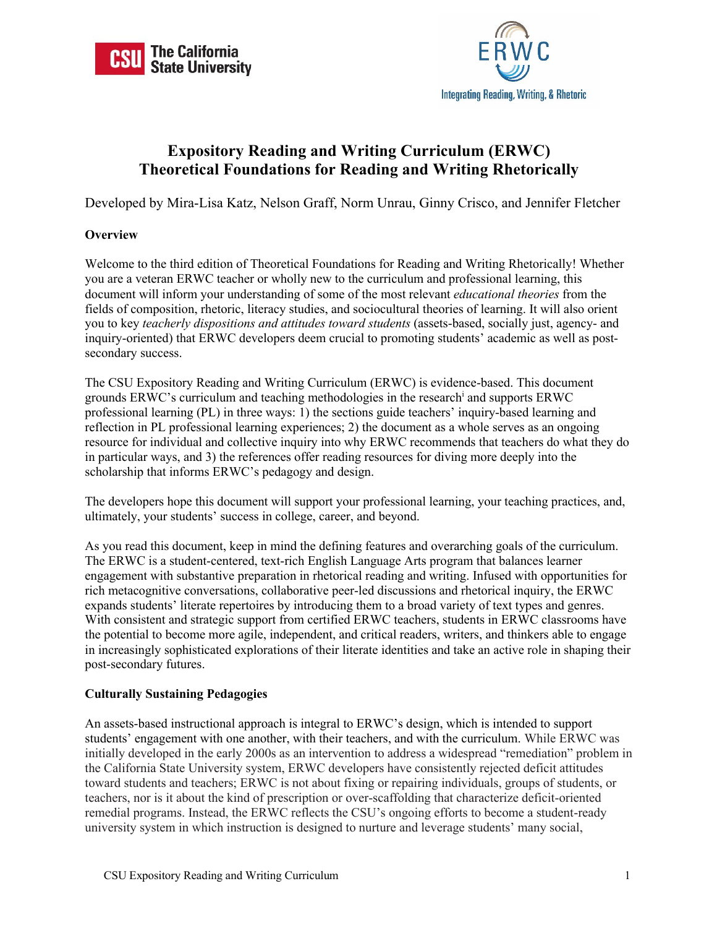



# **Expository Reading and Writing Curriculum (ERWC) Theoretical Foundations for Reading and Writing Rhetorically**

Developed by Mira-Lisa Katz, Nelson Graff, Norm Unrau, Ginny Crisco, and Jennifer Fletcher

# **Overview**

Welcome to the third edition of Theoretical Foundations for Reading and Writing Rhetorically! Whether you are a veteran ERWC teacher or wholly new to the curriculum and professional learning, this document will inform your understanding of some of the most relevant *educational theories* from the fields of composition, rhetoric, literacy studies, and sociocultural theories of learning. It will also orient you to key *teacherly dispositions and attitudes toward students* (assets-based, socially just, agency- and inquiry-oriented) that ERWC developers deem crucial to promoting students' academic as well as postsecondary success.

The CSU Expository Reading and Writing Curriculum (ERWC) is evidence-based. This document grounds ERWC's curriculum and teaching methodologies in the research<sup>i</sup> and supports ERWC professional learning (PL) in three ways: 1) the sections guide teachers' inquiry-based learning and reflection in PL professional learning experiences; 2) the document as a whole serves as an ongoing resource for individual and collective inquiry into why ERWC recommends that teachers do what they do in particular ways, and 3) the references offer reading resources for diving more deeply into the scholarship that informs ERWC's pedagogy and design.

The developers hope this document will support your professional learning, your teaching practices, and, ultimately, your students' success in college, career, and beyond.

As you read this document, keep in mind the defining features and overarching goals of the curriculum. The ERWC is a student-centered, text-rich English Language Arts program that balances learner engagement with substantive preparation in rhetorical reading and writing. Infused with opportunities for rich metacognitive conversations, collaborative peer-led discussions and rhetorical inquiry, the ERWC expands students' literate repertoires by introducing them to a broad variety of text types and genres. With consistent and strategic support from certified ERWC teachers, students in ERWC classrooms have the potential to become more agile, independent, and critical readers, writers, and thinkers able to engage in increasingly sophisticated explorations of their literate identities and take an active role in shaping their post-secondary futures.

## **Culturally Sustaining Pedagogies**

An assets-based instructional approach is integral to ERWC's design, which is intended to support students' engagement with one another, with their teachers, and with the curriculum. While ERWC was initially developed in the early 2000s as an intervention to address a widespread "remediation" problem in the California State University system, ERWC developers have consistently rejected deficit attitudes toward students and teachers; ERWC is not about fixing or repairing individuals, groups of students, or teachers, nor is it about the kind of prescription or over-scaffolding that characterize deficit-oriented remedial programs. Instead, the ERWC reflects the CSU's ongoing efforts to become a student-ready university system in which instruction is designed to nurture and leverage students' many social,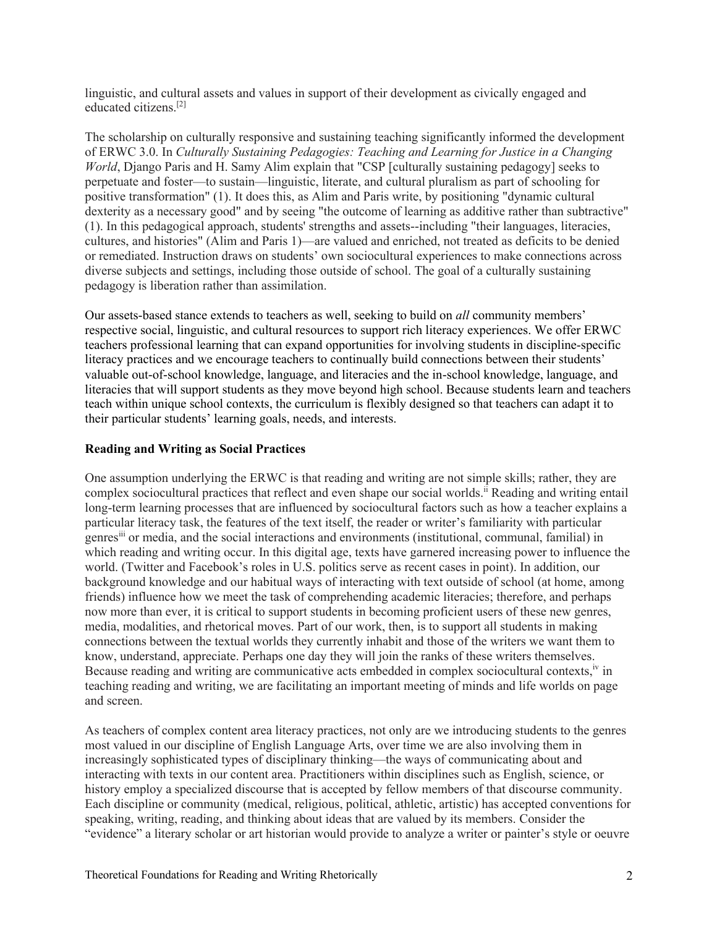linguistic, and cultural assets and values in support of their development as civically engaged and educated citizens.[2]

The scholarship on culturally responsive and sustaining teaching significantly informed the development of ERWC 3.0. In *Culturally Sustaining Pedagogies: Teaching and Learning for Justice in a Changing World*, Django Paris and H. Samy Alim explain that "CSP [culturally sustaining pedagogy] seeks to perpetuate and foster—to sustain—linguistic, literate, and cultural pluralism as part of schooling for positive transformation" (1). It does this, as Alim and Paris write, by positioning "dynamic cultural dexterity as a necessary good" and by seeing "the outcome of learning as additive rather than subtractive" (1). In this pedagogical approach, students' strengths and assets--including "their languages, literacies, cultures, and histories" (Alim and Paris 1)—are valued and enriched, not treated as deficits to be denied or remediated. Instruction draws on students' own sociocultural experiences to make connections across diverse subjects and settings, including those outside of school. The goal of a culturally sustaining pedagogy is liberation rather than assimilation.

Our assets-based stance extends to teachers as well, seeking to build on *all* community members' respective social, linguistic, and cultural resources to support rich literacy experiences. We offer ERWC teachers professional learning that can expand opportunities for involving students in discipline-specific literacy practices and we encourage teachers to continually build connections between their students' valuable out-of-school knowledge, language, and literacies and the in-school knowledge, language, and literacies that will support students as they move beyond high school. Because students learn and teachers teach within unique school contexts, the curriculum is flexibly designed so that teachers can adapt it to their particular students' learning goals, needs, and interests.

#### **Reading and Writing as Social Practices**

One assumption underlying the ERWC is that reading and writing are not simple skills; rather, they are complex sociocultural practices that reflect and even shape our social worlds.<sup>ii</sup> Reading and writing entail long-term learning processes that are influenced by sociocultural factors such as how a teacher explains a particular literacy task, the features of the text itself, the reader or writer's familiarity with particular genresiii or media, and the social interactions and environments (institutional, communal, familial) in which reading and writing occur. In this digital age, texts have garnered increasing power to influence the world. (Twitter and Facebook's roles in U.S. politics serve as recent cases in point). In addition, our background knowledge and our habitual ways of interacting with text outside of school (at home, among friends) influence how we meet the task of comprehending academic literacies; therefore, and perhaps now more than ever, it is critical to support students in becoming proficient users of these new genres, media, modalities, and rhetorical moves. Part of our work, then, is to support all students in making connections between the textual worlds they currently inhabit and those of the writers we want them to know, understand, appreciate. Perhaps one day they will join the ranks of these writers themselves. Because reading and writing are communicative acts embedded in complex sociocultural contexts,<sup>iv</sup> in teaching reading and writing, we are facilitating an important meeting of minds and life worlds on page and screen.

As teachers of complex content area literacy practices, not only are we introducing students to the genres most valued in our discipline of English Language Arts, over time we are also involving them in increasingly sophisticated types of disciplinary thinking—the ways of communicating about and interacting with texts in our content area. Practitioners within disciplines such as English, science, or history employ a specialized discourse that is accepted by fellow members of that discourse community. Each discipline or community (medical, religious, political, athletic, artistic) has accepted conventions for speaking, writing, reading, and thinking about ideas that are valued by its members. Consider the "evidence" a literary scholar or art historian would provide to analyze a writer or painter's style or oeuvre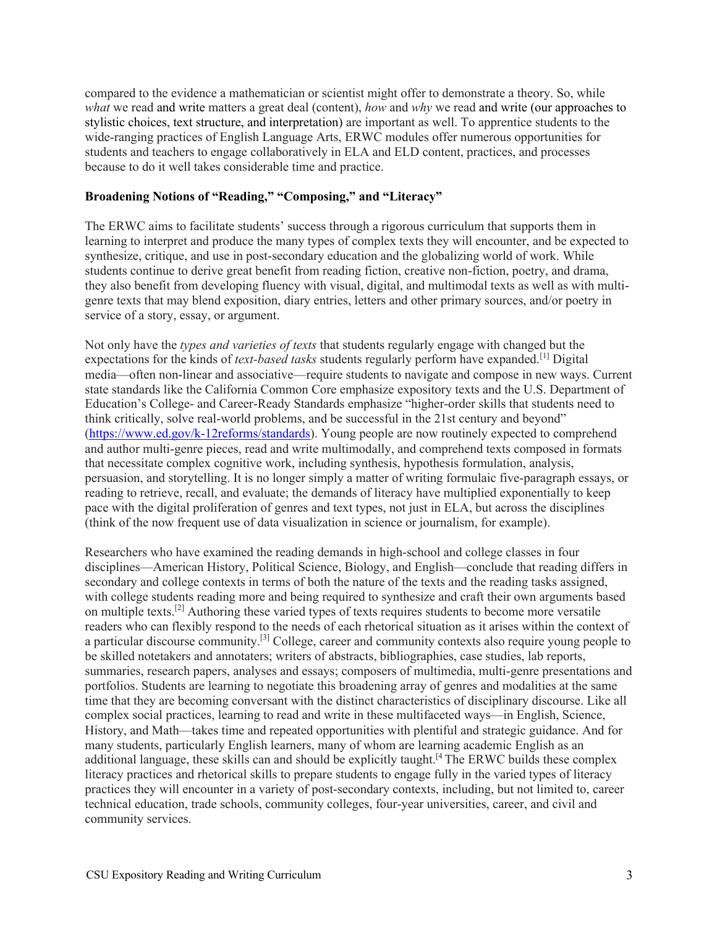compared to the evidence a mathematician or scientist might offer to demonstrate a theory. So, while *what* we read and write matters a great deal (content), *how* and *why* we read and write (our approaches to stylistic choices, text structure, and interpretation) are important as well. To apprentice students to the wide-ranging practices of English Language Arts, ERWC modules offer numerous opportunities for students and teachers to engage collaboratively in ELA and ELD content, practices, and processes because to do it well takes considerable time and practice.

#### **Broadening Notions of "Reading," "Composing," and "Literacy"**

The ERWC aims to facilitate students' success through a rigorous curriculum that supports them in learning to interpret and produce the many types of complex texts they will encounter, and be expected to synthesize, critique, and use in post-secondary education and the globalizing world of work. While students continue to derive great benefit from reading fiction, creative non-fiction, poetry, and drama, they also benefit from developing fluency with visual, digital, and multimodal texts as well as with multigenre texts that may blend exposition, diary entries, letters and other primary sources, and/or poetry in service of a story, essay, or argument.

Not only have the *types and varieties of texts* that students regularly engage with changed but the expectations for the kinds of *text-based tasks* students regularly perform have expanded.[1] Digital media—often non-linear and associative—require students to navigate and compose in new ways. Current state standards like the California Common Core emphasize expository texts and the U.S. Department of Education's College- and Career-Ready Standards emphasize "higher-order skills that students need to think critically, solve real-world problems, and be successful in the 21st century and beyond" (https://www.ed.gov/k-12reforms/standards). Young people are now routinely expected to comprehend and author multi-genre pieces, read and write multimodally, and comprehend texts composed in formats that necessitate complex cognitive work, including synthesis, hypothesis formulation, analysis, persuasion, and storytelling. It is no longer simply a matter of writing formulaic five-paragraph essays, or reading to retrieve, recall, and evaluate; the demands of literacy have multiplied exponentially to keep pace with the digital proliferation of genres and text types, not just in ELA, but across the disciplines (think of the now frequent use of data visualization in science or journalism, for example).

Researchers who have examined the reading demands in high-school and college classes in four disciplines—American History, Political Science, Biology, and English—conclude that reading differs in secondary and college contexts in terms of both the nature of the texts and the reading tasks assigned, with college students reading more and being required to synthesize and craft their own arguments based on multiple texts.<sup>[2]</sup> Authoring these varied types of texts requires students to become more versatile readers who can flexibly respond to the needs of each rhetorical situation as it arises within the context of a particular discourse community.[3] College, career and community contexts also require young people to be skilled notetakers and annotaters; writers of abstracts, bibliographies, case studies, lab reports, summaries, research papers, analyses and essays; composers of multimedia, multi-genre presentations and portfolios. Students are learning to negotiate this broadening array of genres and modalities at the same time that they are becoming conversant with the distinct characteristics of disciplinary discourse. Like all complex social practices, learning to read and write in these multifaceted ways—in English, Science, History, and Math—takes time and repeated opportunities with plentiful and strategic guidance. And for many students, particularly English learners, many of whom are learning academic English as an additional language, these skills can and should be explicitly taught.<sup>[4</sup> The ERWC builds these complex literacy practices and rhetorical skills to prepare students to engage fully in the varied types of literacy practices they will encounter in a variety of post-secondary contexts, including, but not limited to, career technical education, trade schools, community colleges, four-year universities, career, and civil and community services.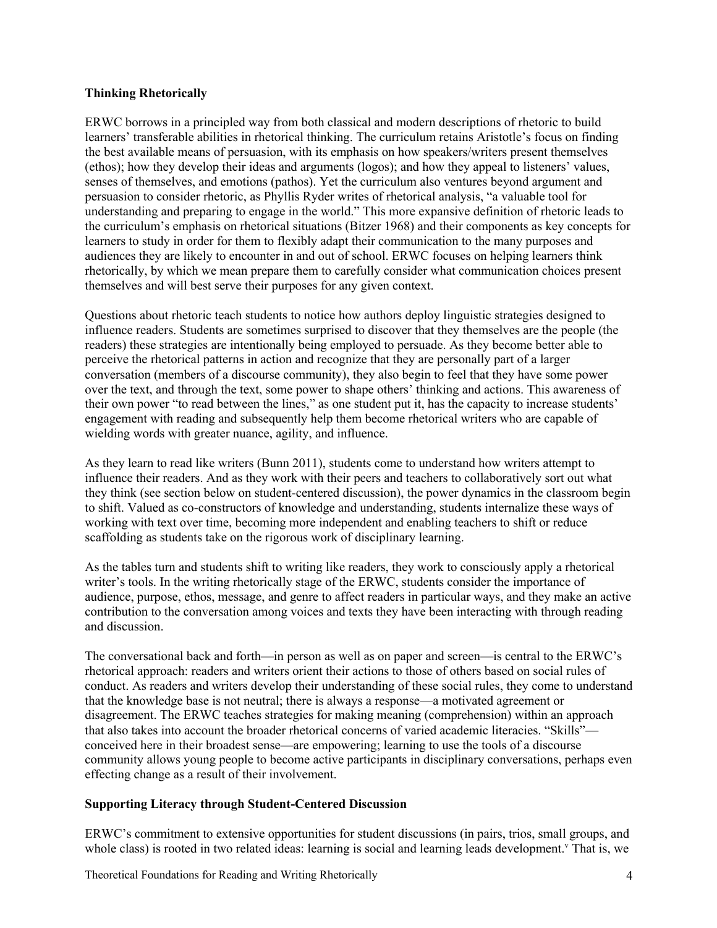## **Thinking Rhetorically**

ERWC borrows in a principled way from both classical and modern descriptions of rhetoric to build learners' transferable abilities in rhetorical thinking. The curriculum retains Aristotle's focus on finding the best available means of persuasion, with its emphasis on how speakers/writers present themselves (ethos); how they develop their ideas and arguments (logos); and how they appeal to listeners' values, senses of themselves, and emotions (pathos). Yet the curriculum also ventures beyond argument and persuasion to consider rhetoric, as Phyllis Ryder writes of rhetorical analysis, "a valuable tool for understanding and preparing to engage in the world." This more expansive definition of rhetoric leads to the curriculum's emphasis on rhetorical situations (Bitzer 1968) and their components as key concepts for learners to study in order for them to flexibly adapt their communication to the many purposes and audiences they are likely to encounter in and out of school. ERWC focuses on helping learners think rhetorically, by which we mean prepare them to carefully consider what communication choices present themselves and will best serve their purposes for any given context.

Questions about rhetoric teach students to notice how authors deploy linguistic strategies designed to influence readers. Students are sometimes surprised to discover that they themselves are the people (the readers) these strategies are intentionally being employed to persuade. As they become better able to perceive the rhetorical patterns in action and recognize that they are personally part of a larger conversation (members of a discourse community), they also begin to feel that they have some power over the text, and through the text, some power to shape others' thinking and actions. This awareness of their own power "to read between the lines," as one student put it, has the capacity to increase students' engagement with reading and subsequently help them become rhetorical writers who are capable of wielding words with greater nuance, agility, and influence.

As they learn to read like writers (Bunn 2011), students come to understand how writers attempt to influence their readers. And as they work with their peers and teachers to collaboratively sort out what they think (see section below on student-centered discussion), the power dynamics in the classroom begin to shift. Valued as co-constructors of knowledge and understanding, students internalize these ways of working with text over time, becoming more independent and enabling teachers to shift or reduce scaffolding as students take on the rigorous work of disciplinary learning.

As the tables turn and students shift to writing like readers, they work to consciously apply a rhetorical writer's tools. In the writing rhetorically stage of the ERWC, students consider the importance of audience, purpose, ethos, message, and genre to affect readers in particular ways, and they make an active contribution to the conversation among voices and texts they have been interacting with through reading and discussion.

The conversational back and forth—in person as well as on paper and screen—is central to the ERWC's rhetorical approach: readers and writers orient their actions to those of others based on social rules of conduct. As readers and writers develop their understanding of these social rules, they come to understand that the knowledge base is not neutral; there is always a response—a motivated agreement or disagreement. The ERWC teaches strategies for making meaning (comprehension) within an approach that also takes into account the broader rhetorical concerns of varied academic literacies. "Skills" conceived here in their broadest sense—are empowering; learning to use the tools of a discourse community allows young people to become active participants in disciplinary conversations, perhaps even effecting change as a result of their involvement.

## **Supporting Literacy through Student-Centered Discussion**

ERWC's commitment to extensive opportunities for student discussions (in pairs, trios, small groups, and whole class) is rooted in two related ideas: learning is social and learning leads development.<sup>Y</sup> That is, we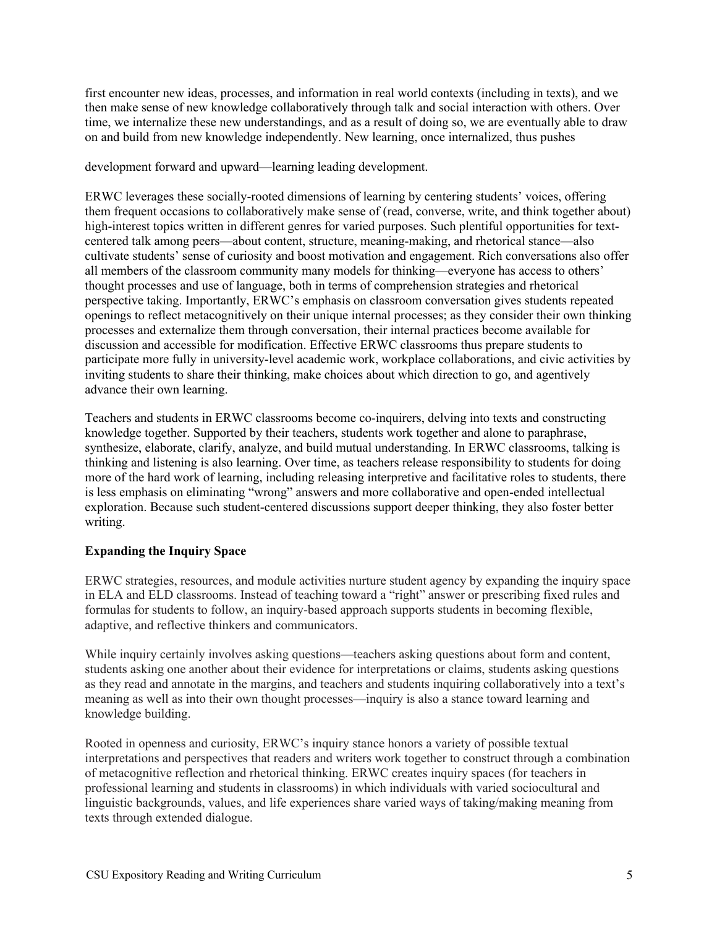first encounter new ideas, processes, and information in real world contexts (including in texts), and we then make sense of new knowledge collaboratively through talk and social interaction with others. Over time, we internalize these new understandings, and as a result of doing so, we are eventually able to draw on and build from new knowledge independently. New learning, once internalized, thus pushes

development forward and upward—learning leading development.

ERWC leverages these socially-rooted dimensions of learning by centering students' voices, offering them frequent occasions to collaboratively make sense of (read, converse, write, and think together about) high-interest topics written in different genres for varied purposes. Such plentiful opportunities for textcentered talk among peers—about content, structure, meaning-making, and rhetorical stance—also cultivate students' sense of curiosity and boost motivation and engagement. Rich conversations also offer all members of the classroom community many models for thinking—everyone has access to others' thought processes and use of language, both in terms of comprehension strategies and rhetorical perspective taking. Importantly, ERWC's emphasis on classroom conversation gives students repeated openings to reflect metacognitively on their unique internal processes; as they consider their own thinking processes and externalize them through conversation, their internal practices become available for discussion and accessible for modification. Effective ERWC classrooms thus prepare students to participate more fully in university-level academic work, workplace collaborations, and civic activities by inviting students to share their thinking, make choices about which direction to go, and agentively advance their own learning.

Teachers and students in ERWC classrooms become co-inquirers, delving into texts and constructing knowledge together. Supported by their teachers, students work together and alone to paraphrase, synthesize, elaborate, clarify, analyze, and build mutual understanding. In ERWC classrooms, talking is thinking and listening is also learning. Over time, as teachers release responsibility to students for doing more of the hard work of learning, including releasing interpretive and facilitative roles to students, there is less emphasis on eliminating "wrong" answers and more collaborative and open-ended intellectual exploration. Because such student-centered discussions support deeper thinking, they also foster better writing.

## **Expanding the Inquiry Space**

ERWC strategies, resources, and module activities nurture student agency by expanding the inquiry space in ELA and ELD classrooms. Instead of teaching toward a "right" answer or prescribing fixed rules and formulas for students to follow, an inquiry-based approach supports students in becoming flexible, adaptive, and reflective thinkers and communicators.

While inquiry certainly involves asking questions—teachers asking questions about form and content, students asking one another about their evidence for interpretations or claims, students asking questions as they read and annotate in the margins, and teachers and students inquiring collaboratively into a text's meaning as well as into their own thought processes—inquiry is also a stance toward learning and knowledge building.

Rooted in openness and curiosity, ERWC's inquiry stance honors a variety of possible textual interpretations and perspectives that readers and writers work together to construct through a combination of metacognitive reflection and rhetorical thinking. ERWC creates inquiry spaces (for teachers in professional learning and students in classrooms) in which individuals with varied sociocultural and linguistic backgrounds, values, and life experiences share varied ways of taking/making meaning from texts through extended dialogue.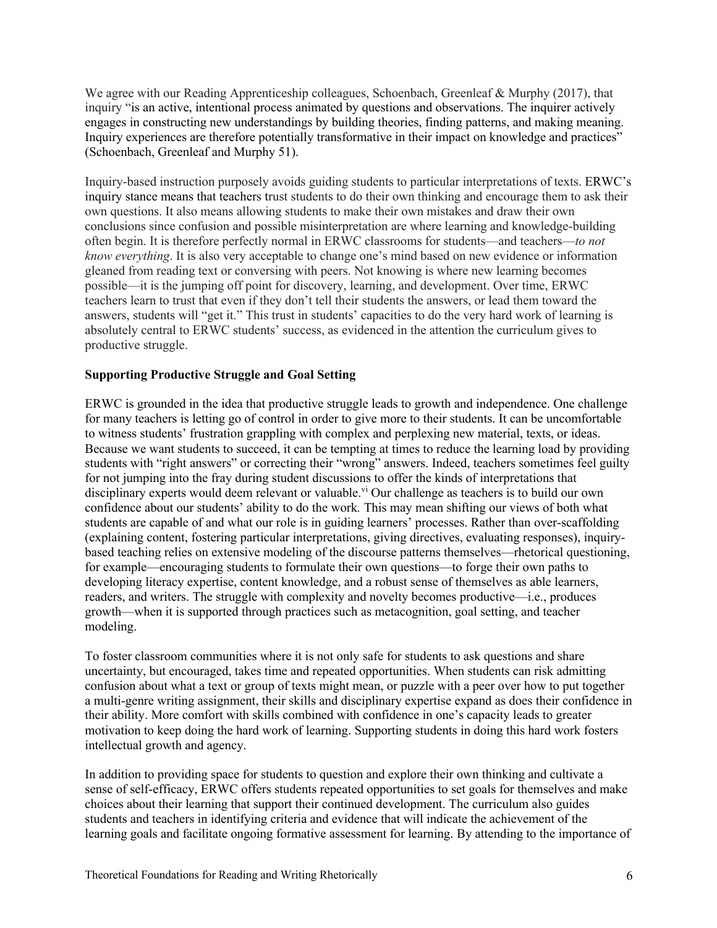We agree with our Reading Apprenticeship colleagues, Schoenbach, Greenleaf & Murphy (2017), that inquiry "is an active, intentional process animated by questions and observations. The inquirer actively engages in constructing new understandings by building theories, finding patterns, and making meaning. Inquiry experiences are therefore potentially transformative in their impact on knowledge and practices" (Schoenbach, Greenleaf and Murphy 51).

Inquiry-based instruction purposely avoids guiding students to particular interpretations of texts. ERWC's inquiry stance means that teachers trust students to do their own thinking and encourage them to ask their own questions. It also means allowing students to make their own mistakes and draw their own conclusions since confusion and possible misinterpretation are where learning and knowledge-building often begin. It is therefore perfectly normal in ERWC classrooms for students—and teachers—*to not know everything*. It is also very acceptable to change one's mind based on new evidence or information gleaned from reading text or conversing with peers. Not knowing is where new learning becomes possible—it is the jumping off point for discovery, learning, and development. Over time, ERWC teachers learn to trust that even if they don't tell their students the answers, or lead them toward the answers, students will "get it." This trust in students' capacities to do the very hard work of learning is absolutely central to ERWC students' success, as evidenced in the attention the curriculum gives to productive struggle.

## **Supporting Productive Struggle and Goal Setting**

ERWC is grounded in the idea that productive struggle leads to growth and independence. One challenge for many teachers is letting go of control in order to give more to their students. It can be uncomfortable to witness students' frustration grappling with complex and perplexing new material, texts, or ideas. Because we want students to succeed, it can be tempting at times to reduce the learning load by providing students with "right answers" or correcting their "wrong" answers. Indeed, teachers sometimes feel guilty for not jumping into the fray during student discussions to offer the kinds of interpretations that disciplinary experts would deem relevant or valuable.<sup>vi</sup> Our challenge as teachers is to build our own confidence about our students' ability to do the work*.* This may mean shifting our views of both what students are capable of and what our role is in guiding learners' processes. Rather than over-scaffolding (explaining content, fostering particular interpretations, giving directives, evaluating responses), inquirybased teaching relies on extensive modeling of the discourse patterns themselves—rhetorical questioning, for example—encouraging students to formulate their own questions—to forge their own paths to developing literacy expertise, content knowledge, and a robust sense of themselves as able learners, readers, and writers. The struggle with complexity and novelty becomes productive—i.e., produces growth—when it is supported through practices such as metacognition, goal setting, and teacher modeling.

To foster classroom communities where it is not only safe for students to ask questions and share uncertainty, but encouraged, takes time and repeated opportunities. When students can risk admitting confusion about what a text or group of texts might mean, or puzzle with a peer over how to put together a multi-genre writing assignment, their skills and disciplinary expertise expand as does their confidence in their ability. More comfort with skills combined with confidence in one's capacity leads to greater motivation to keep doing the hard work of learning. Supporting students in doing this hard work fosters intellectual growth and agency.

In addition to providing space for students to question and explore their own thinking and cultivate a sense of self-efficacy, ERWC offers students repeated opportunities to set goals for themselves and make choices about their learning that support their continued development. The curriculum also guides students and teachers in identifying criteria and evidence that will indicate the achievement of the learning goals and facilitate ongoing formative assessment for learning. By attending to the importance of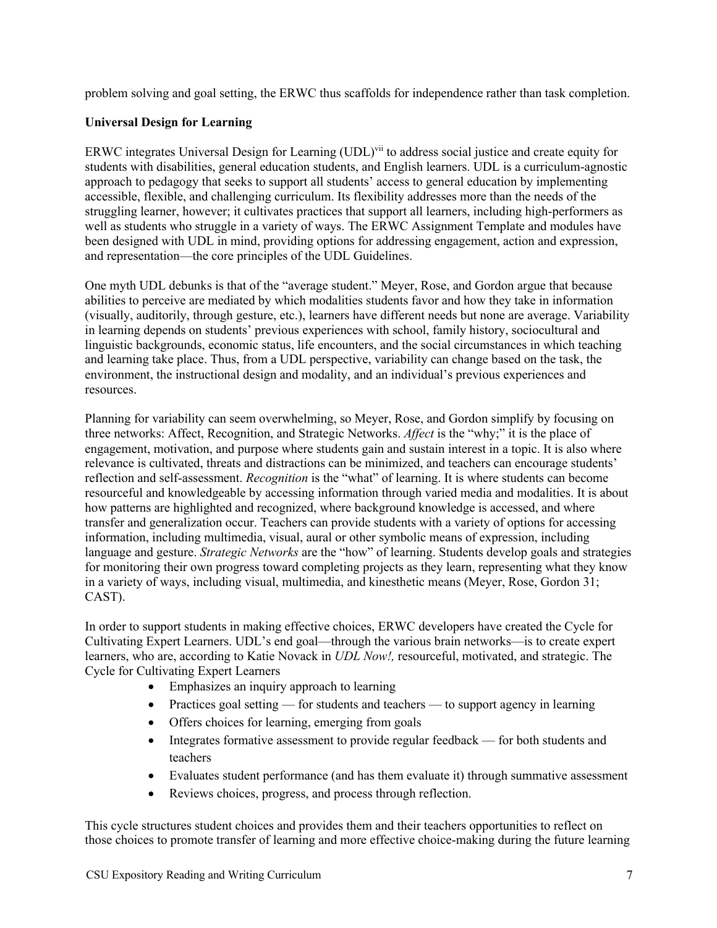problem solving and goal setting, the ERWC thus scaffolds for independence rather than task completion.

# **Universal Design for Learning**

ERWC integrates Universal Design for Learning (UDL)<sup>vii</sup> to address social justice and create equity for students with disabilities, general education students, and English learners. UDL is a curriculum-agnostic approach to pedagogy that seeks to support all students' access to general education by implementing accessible, flexible, and challenging curriculum. Its flexibility addresses more than the needs of the struggling learner, however; it cultivates practices that support all learners, including high-performers as well as students who struggle in a variety of ways. The ERWC Assignment Template and modules have been designed with UDL in mind, providing options for addressing engagement, action and expression, and representation—the core principles of the UDL Guidelines.

One myth UDL debunks is that of the "average student." Meyer, Rose, and Gordon argue that because abilities to perceive are mediated by which modalities students favor and how they take in information (visually, auditorily, through gesture, etc.), learners have different needs but none are average. Variability in learning depends on students' previous experiences with school, family history, sociocultural and linguistic backgrounds, economic status, life encounters, and the social circumstances in which teaching and learning take place. Thus, from a UDL perspective, variability can change based on the task, the environment, the instructional design and modality, and an individual's previous experiences and resources.

Planning for variability can seem overwhelming, so Meyer, Rose, and Gordon simplify by focusing on three networks: Affect, Recognition, and Strategic Networks. *Affect* is the "why;" it is the place of engagement, motivation, and purpose where students gain and sustain interest in a topic. It is also where relevance is cultivated, threats and distractions can be minimized, and teachers can encourage students' reflection and self-assessment. *Recognition* is the "what" of learning. It is where students can become resourceful and knowledgeable by accessing information through varied media and modalities. It is about how patterns are highlighted and recognized, where background knowledge is accessed, and where transfer and generalization occur. Teachers can provide students with a variety of options for accessing information, including multimedia, visual, aural or other symbolic means of expression, including language and gesture. *Strategic Networks* are the "how" of learning. Students develop goals and strategies for monitoring their own progress toward completing projects as they learn, representing what they know in a variety of ways, including visual, multimedia, and kinesthetic means (Meyer, Rose, Gordon 31; CAST).

In order to support students in making effective choices, ERWC developers have created the Cycle for Cultivating Expert Learners. UDL's end goal—through the various brain networks—is to create expert learners, who are, according to Katie Novack in *UDL Now!,* resourceful, motivated, and strategic. The Cycle for Cultivating Expert Learners

- Emphasizes an inquiry approach to learning
- Practices goal setting for students and teachers to support agency in learning
- Offers choices for learning, emerging from goals
- Integrates formative assessment to provide regular feedback for both students and teachers
- Evaluates student performance (and has them evaluate it) through summative assessment
- Reviews choices, progress, and process through reflection.

This cycle structures student choices and provides them and their teachers opportunities to reflect on those choices to promote transfer of learning and more effective choice-making during the future learning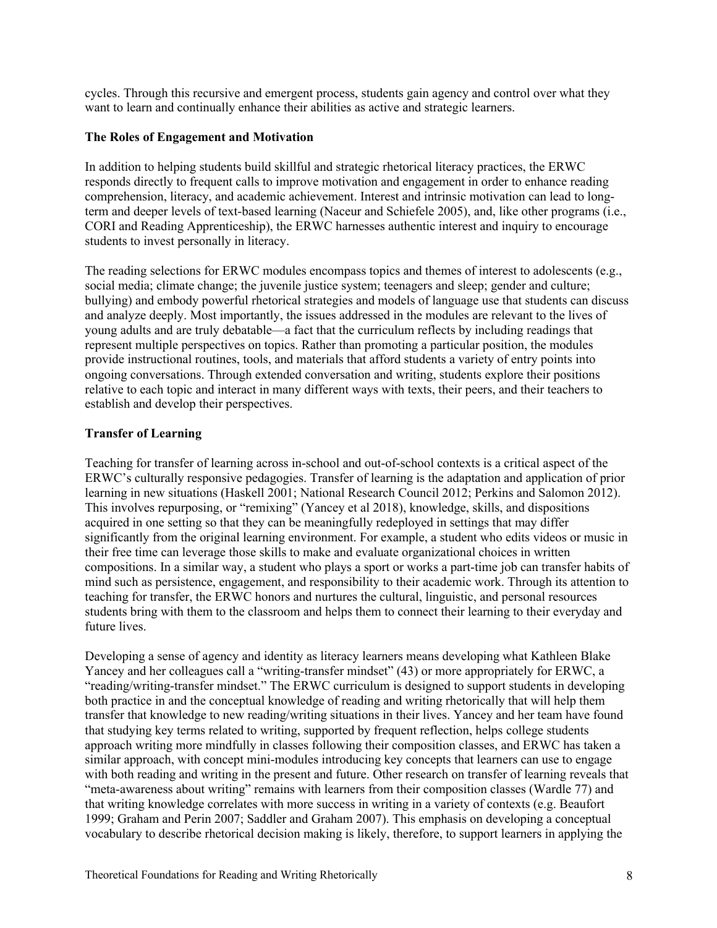cycles. Through this recursive and emergent process, students gain agency and control over what they want to learn and continually enhance their abilities as active and strategic learners.

#### **The Roles of Engagement and Motivation**

In addition to helping students build skillful and strategic rhetorical literacy practices, the ERWC responds directly to frequent calls to improve motivation and engagement in order to enhance reading comprehension, literacy, and academic achievement. Interest and intrinsic motivation can lead to longterm and deeper levels of text-based learning (Naceur and Schiefele 2005), and, like other programs (i.e., CORI and Reading Apprenticeship), the ERWC harnesses authentic interest and inquiry to encourage students to invest personally in literacy.

The reading selections for ERWC modules encompass topics and themes of interest to adolescents (e.g., social media; climate change; the juvenile justice system; teenagers and sleep; gender and culture; bullying) and embody powerful rhetorical strategies and models of language use that students can discuss and analyze deeply. Most importantly, the issues addressed in the modules are relevant to the lives of young adults and are truly debatable—a fact that the curriculum reflects by including readings that represent multiple perspectives on topics. Rather than promoting a particular position, the modules provide instructional routines, tools, and materials that afford students a variety of entry points into ongoing conversations. Through extended conversation and writing, students explore their positions relative to each topic and interact in many different ways with texts, their peers, and their teachers to establish and develop their perspectives.

#### **Transfer of Learning**

Teaching for transfer of learning across in-school and out-of-school contexts is a critical aspect of the ERWC's culturally responsive pedagogies. Transfer of learning is the adaptation and application of prior learning in new situations (Haskell 2001; National Research Council 2012; Perkins and Salomon 2012). This involves repurposing, or "remixing" (Yancey et al 2018), knowledge, skills, and dispositions acquired in one setting so that they can be meaningfully redeployed in settings that may differ significantly from the original learning environment. For example, a student who edits videos or music in their free time can leverage those skills to make and evaluate organizational choices in written compositions. In a similar way, a student who plays a sport or works a part-time job can transfer habits of mind such as persistence, engagement, and responsibility to their academic work. Through its attention to teaching for transfer, the ERWC honors and nurtures the cultural, linguistic, and personal resources students bring with them to the classroom and helps them to connect their learning to their everyday and future lives.

Developing a sense of agency and identity as literacy learners means developing what Kathleen Blake Yancey and her colleagues call a "writing-transfer mindset" (43) or more appropriately for ERWC, a "reading/writing-transfer mindset." The ERWC curriculum is designed to support students in developing both practice in and the conceptual knowledge of reading and writing rhetorically that will help them transfer that knowledge to new reading/writing situations in their lives. Yancey and her team have found that studying key terms related to writing, supported by frequent reflection, helps college students approach writing more mindfully in classes following their composition classes, and ERWC has taken a similar approach, with concept mini-modules introducing key concepts that learners can use to engage with both reading and writing in the present and future. Other research on transfer of learning reveals that "meta-awareness about writing" remains with learners from their composition classes (Wardle 77) and that writing knowledge correlates with more success in writing in a variety of contexts (e.g. Beaufort 1999; Graham and Perin 2007; Saddler and Graham 2007). This emphasis on developing a conceptual vocabulary to describe rhetorical decision making is likely, therefore, to support learners in applying the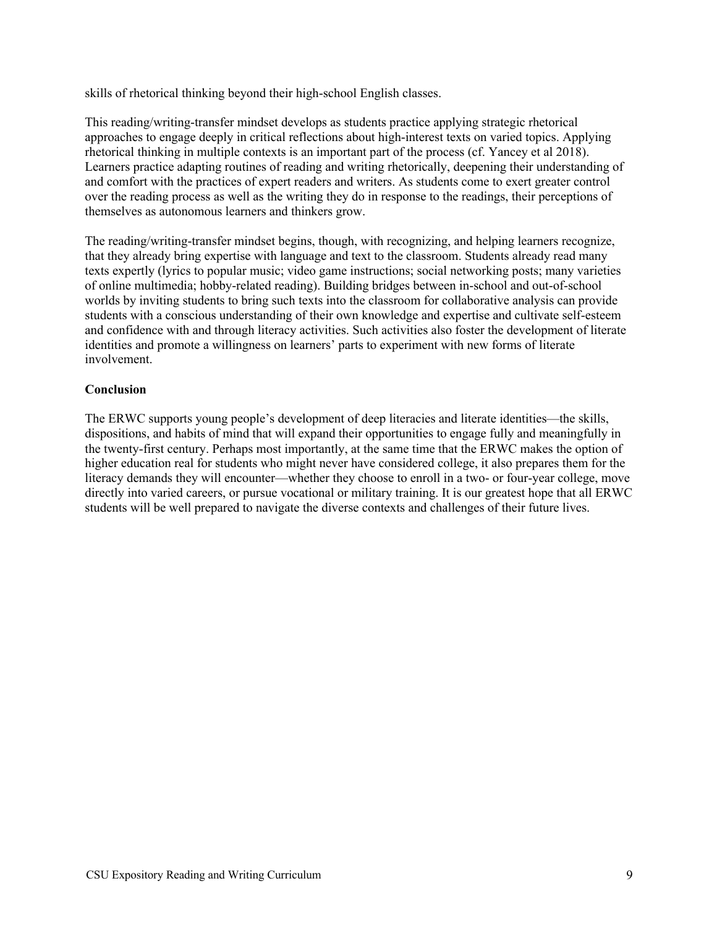skills of rhetorical thinking beyond their high-school English classes.

This reading/writing-transfer mindset develops as students practice applying strategic rhetorical approaches to engage deeply in critical reflections about high-interest texts on varied topics. Applying rhetorical thinking in multiple contexts is an important part of the process (cf. Yancey et al 2018). Learners practice adapting routines of reading and writing rhetorically, deepening their understanding of and comfort with the practices of expert readers and writers. As students come to exert greater control over the reading process as well as the writing they do in response to the readings, their perceptions of themselves as autonomous learners and thinkers grow.

The reading/writing-transfer mindset begins, though, with recognizing, and helping learners recognize, that they already bring expertise with language and text to the classroom. Students already read many texts expertly (lyrics to popular music; video game instructions; social networking posts; many varieties of online multimedia; hobby-related reading). Building bridges between in-school and out-of-school worlds by inviting students to bring such texts into the classroom for collaborative analysis can provide students with a conscious understanding of their own knowledge and expertise and cultivate self-esteem and confidence with and through literacy activities. Such activities also foster the development of literate identities and promote a willingness on learners' parts to experiment with new forms of literate involvement.

# **Conclusion**

The ERWC supports young people's development of deep literacies and literate identities—the skills, dispositions, and habits of mind that will expand their opportunities to engage fully and meaningfully in the twenty-first century. Perhaps most importantly, at the same time that the ERWC makes the option of higher education real for students who might never have considered college, it also prepares them for the literacy demands they will encounter—whether they choose to enroll in a two- or four-year college, move directly into varied careers, or pursue vocational or military training. It is our greatest hope that all ERWC students will be well prepared to navigate the diverse contexts and challenges of their future lives.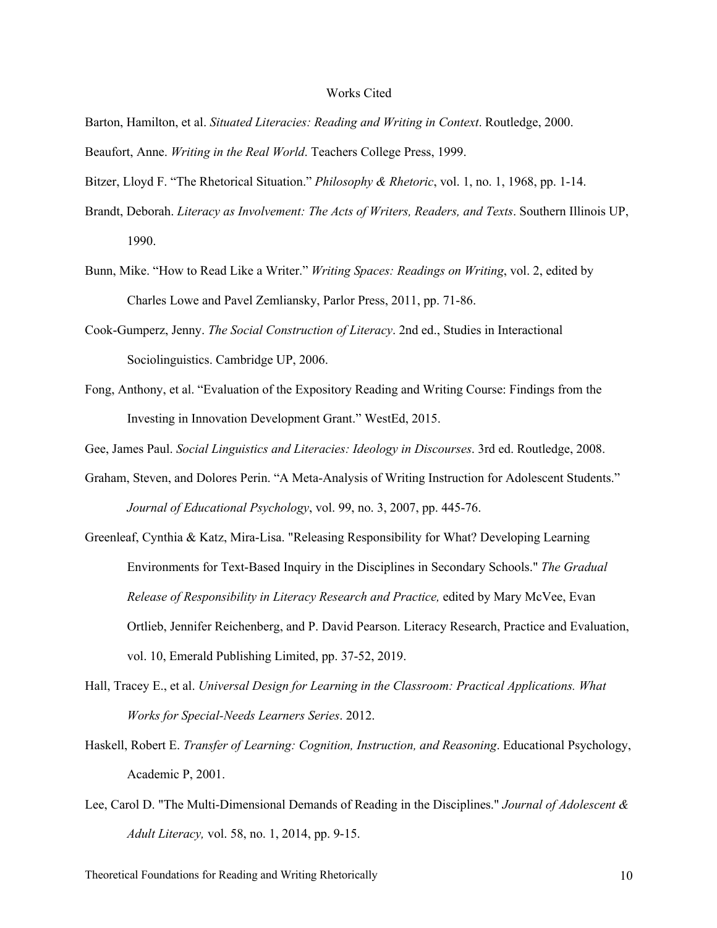#### Works Cited

Barton, Hamilton, et al. *Situated Literacies: Reading and Writing in Context*. Routledge, 2000. Beaufort, Anne. *Writing in the Real World*. Teachers College Press, 1999.

Bitzer, Lloyd F. "The Rhetorical Situation." *Philosophy & Rhetoric*, vol. 1, no. 1, 1968, pp. 1-14.

- Brandt, Deborah. *Literacy as Involvement: The Acts of Writers, Readers, and Texts*. Southern Illinois UP, 1990.
- Bunn, Mike. "How to Read Like a Writer." *Writing Spaces: Readings on Writing*, vol. 2, edited by Charles Lowe and Pavel Zemliansky, Parlor Press, 2011, pp. 71-86.
- Cook-Gumperz, Jenny. *The Social Construction of Literacy*. 2nd ed., Studies in Interactional Sociolinguistics. Cambridge UP, 2006.
- Fong, Anthony, et al. "Evaluation of the Expository Reading and Writing Course: Findings from the Investing in Innovation Development Grant." WestEd, 2015.

Gee, James Paul. *Social Linguistics and Literacies: Ideology in Discourses*. 3rd ed. Routledge, 2008.

- Graham, Steven, and Dolores Perin. "A Meta-Analysis of Writing Instruction for Adolescent Students." *Journal of Educational Psychology*, vol. 99, no. 3, 2007, pp. 445-76.
- Greenleaf, Cynthia & Katz, Mira-Lisa. "Releasing Responsibility for What? Developing Learning Environments for Text-Based Inquiry in the Disciplines in Secondary Schools." *The Gradual Release of Responsibility in Literacy Research and Practice,* edited by Mary McVee, Evan Ortlieb, Jennifer Reichenberg, and P. David Pearson. Literacy Research, Practice and Evaluation, vol. 10, Emerald Publishing Limited, pp. 37-52, 2019.
- Hall, Tracey E., et al. *Universal Design for Learning in the Classroom: Practical Applications. What Works for Special-Needs Learners Series*. 2012.
- Haskell, Robert E. *Transfer of Learning: Cognition, Instruction, and Reasoning*. Educational Psychology, Academic P, 2001.
- Lee, Carol D. "The Multi‐Dimensional Demands of Reading in the Disciplines." *Journal of Adolescent & Adult Literacy,* vol. 58, no. 1, 2014, pp. 9-15.

Theoretical Foundations for Reading and Writing Rhetorically 10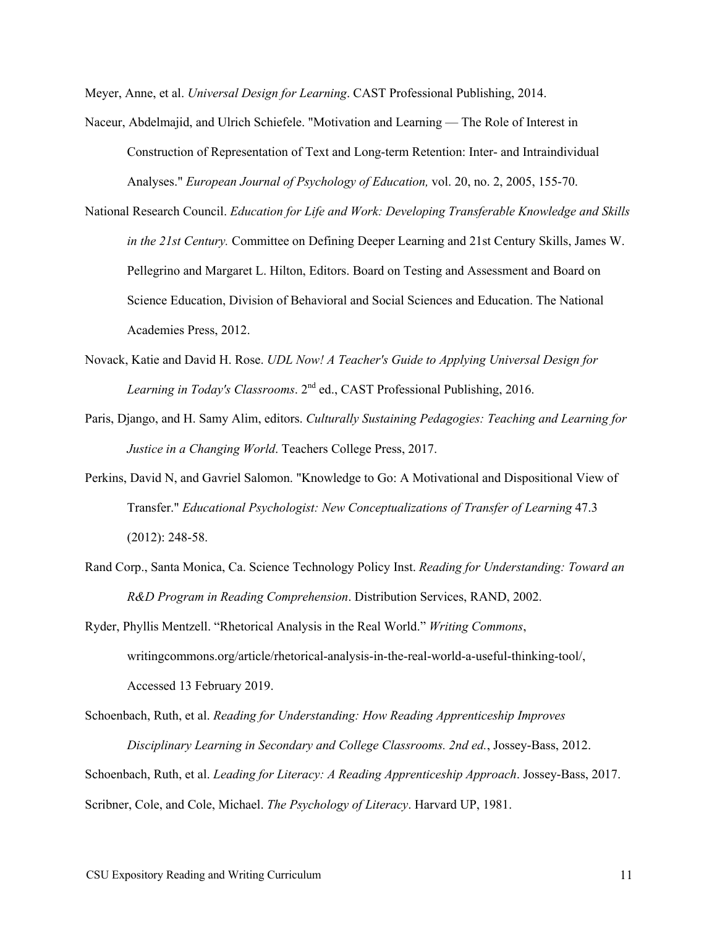Meyer, Anne, et al. *Universal Design for Learning*. CAST Professional Publishing, 2014.

- Naceur, Abdelmajid, and Ulrich Schiefele. "Motivation and Learning The Role of Interest in Construction of Representation of Text and Long-term Retention: Inter- and Intraindividual Analyses." *European Journal of Psychology of Education,* vol. 20, no. 2, 2005, 155-70.
- National Research Council. *Education for Life and Work: Developing Transferable Knowledge and Skills in the 21st Century.* Committee on Defining Deeper Learning and 21st Century Skills, James W. Pellegrino and Margaret L. Hilton, Editors. Board on Testing and Assessment and Board on Science Education, Division of Behavioral and Social Sciences and Education. The National Academies Press, 2012.
- Novack, Katie and David H. Rose. *UDL Now! A Teacher's Guide to Applying Universal Design for Learning in Today's Classrooms*. 2nd ed., CAST Professional Publishing, 2016.
- Paris, Django, and H. Samy Alim, editors. *Culturally Sustaining Pedagogies: Teaching and Learning for Justice in a Changing World*. Teachers College Press, 2017.
- Perkins, David N, and Gavriel Salomon. "Knowledge to Go: A Motivational and Dispositional View of Transfer." *Educational Psychologist: New Conceptualizations of Transfer of Learning* 47.3 (2012): 248-58.
- Rand Corp., Santa Monica, Ca. Science Technology Policy Inst. *Reading for Understanding: Toward an R&D Program in Reading Comprehension*. Distribution Services, RAND, 2002.
- Ryder, Phyllis Mentzell. "Rhetorical Analysis in the Real World." *Writing Commons*, writingcommons.org/article/rhetorical-analysis-in-the-real-world-a-useful-thinking-tool/, Accessed 13 February 2019.
- Schoenbach, Ruth, et al. *Reading for Understanding: How Reading Apprenticeship Improves Disciplinary Learning in Secondary and College Classrooms. 2nd ed.*, Jossey-Bass, 2012. Schoenbach, Ruth, et al. *Leading for Literacy: A Reading Apprenticeship Approach*. Jossey-Bass, 2017. Scribner, Cole, and Cole, Michael. *The Psychology of Literacy*. Harvard UP, 1981.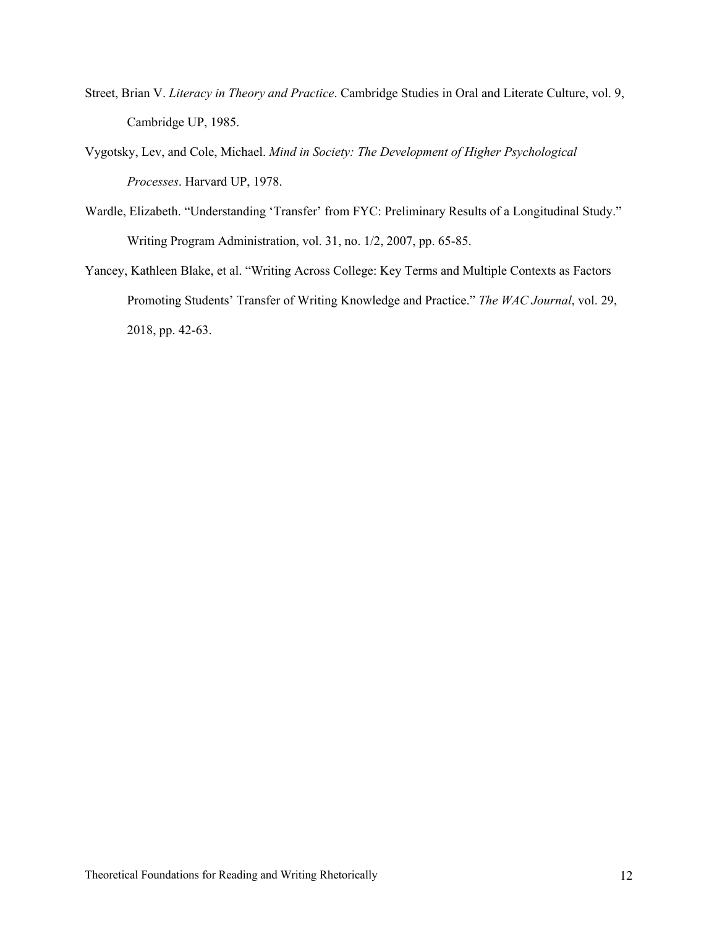- Street, Brian V. *Literacy in Theory and Practice*. Cambridge Studies in Oral and Literate Culture, vol. 9, Cambridge UP, 1985.
- Vygotsky, Lev, and Cole, Michael. *Mind in Society: The Development of Higher Psychological Processes*. Harvard UP, 1978.
- Wardle, Elizabeth. "Understanding 'Transfer' from FYC: Preliminary Results of a Longitudinal Study." Writing Program Administration, vol. 31, no. 1/2, 2007, pp. 65-85.
- Yancey, Kathleen Blake, et al. "Writing Across College: Key Terms and Multiple Contexts as Factors Promoting Students' Transfer of Writing Knowledge and Practice." *The WAC Journal*, vol. 29, 2018, pp. 42-63.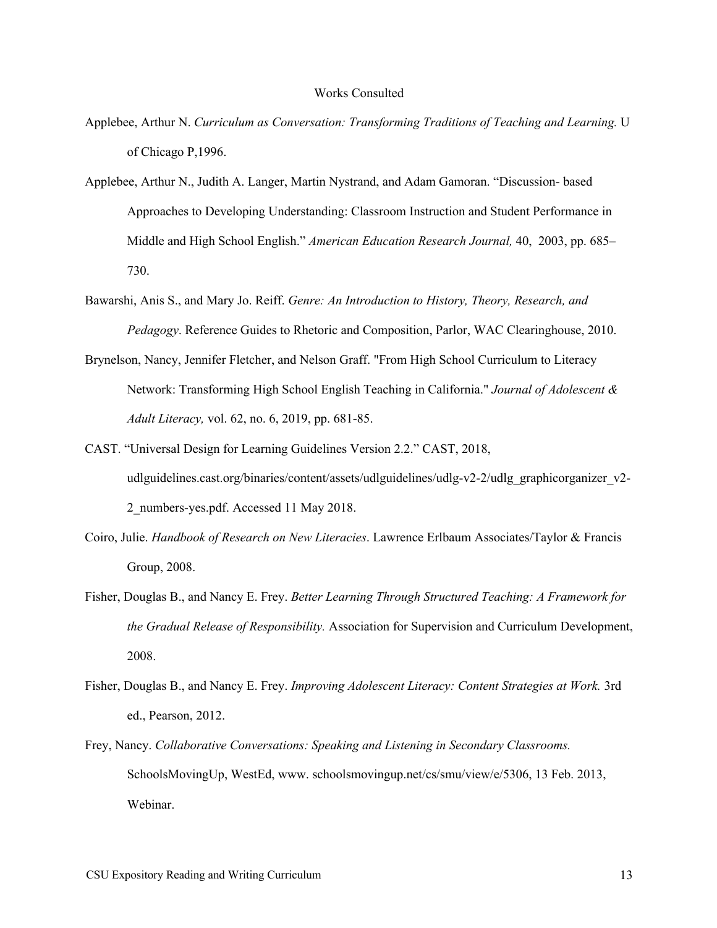#### Works Consulted

- Applebee, Arthur N. *Curriculum as Conversation: Transforming Traditions of Teaching and Learning.* U of Chicago P,1996.
- Applebee, Arthur N., Judith A. Langer, Martin Nystrand, and Adam Gamoran. "Discussion- based Approaches to Developing Understanding: Classroom Instruction and Student Performance in Middle and High School English." *American Education Research Journal,* 40, 2003, pp. 685– 730.
- Bawarshi, Anis S., and Mary Jo. Reiff. *Genre: An Introduction to History, Theory, Research, and Pedagogy*. Reference Guides to Rhetoric and Composition, Parlor, WAC Clearinghouse, 2010.
- Brynelson, Nancy, Jennifer Fletcher, and Nelson Graff. "From High School Curriculum to Literacy Network: Transforming High School English Teaching in California." *Journal of Adolescent & Adult Literacy,* vol. 62, no. 6, 2019, pp. 681-85.
- CAST. "Universal Design for Learning Guidelines Version 2.2." CAST, 2018, udlguidelines.cast.org/binaries/content/assets/udlguidelines/udlg-v2-2/udlg\_graphicorganizer\_v2-2\_numbers-yes.pdf. Accessed 11 May 2018.
- Coiro, Julie. *Handbook of Research on New Literacies*. Lawrence Erlbaum Associates/Taylor & Francis Group, 2008.
- Fisher, Douglas B., and Nancy E. Frey. *Better Learning Through Structured Teaching: A Framework for the Gradual Release of Responsibility.* Association for Supervision and Curriculum Development, 2008.
- Fisher, Douglas B., and Nancy E. Frey. *Improving Adolescent Literacy: Content Strategies at Work.* 3rd ed., Pearson, 2012.
- Frey, Nancy. *Collaborative Conversations: Speaking and Listening in Secondary Classrooms.*  SchoolsMovingUp, WestEd, www. schoolsmovingup.net/cs/smu/view/e/5306, 13 Feb. 2013, Webinar.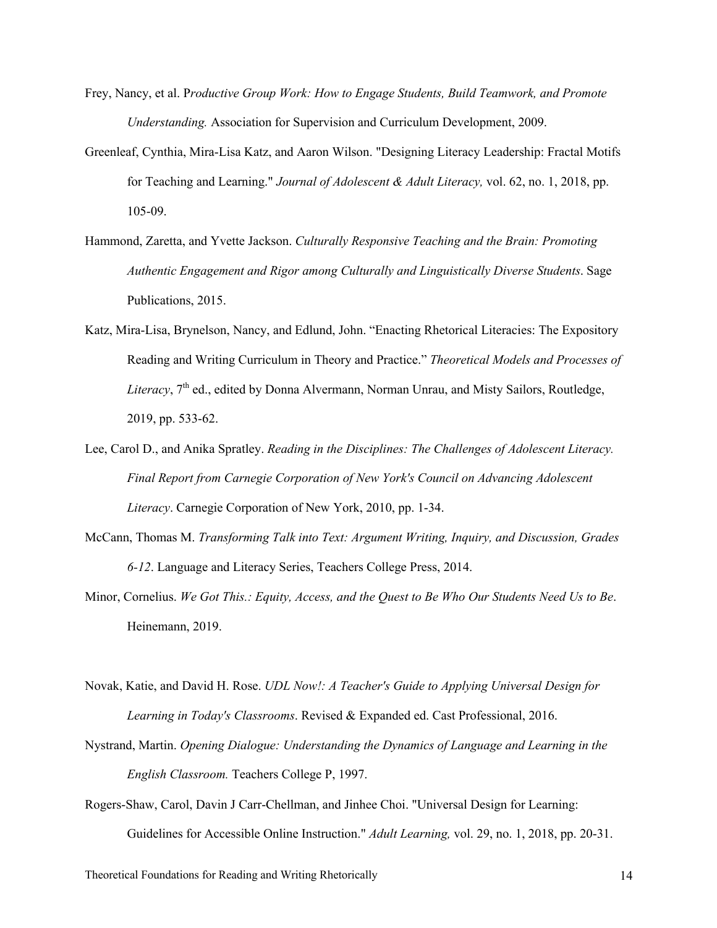- Frey, Nancy, et al. P*roductive Group Work: How to Engage Students, Build Teamwork, and Promote Understanding.* Association for Supervision and Curriculum Development, 2009.
- Greenleaf, Cynthia, Mira‐Lisa Katz, and Aaron Wilson. "Designing Literacy Leadership: Fractal Motifs for Teaching and Learning." *Journal of Adolescent & Adult Literacy,* vol. 62, no. 1, 2018, pp. 105-09.
- Hammond, Zaretta, and Yvette Jackson. *Culturally Responsive Teaching and the Brain: Promoting Authentic Engagement and Rigor among Culturally and Linguistically Diverse Students*. Sage Publications, 2015.
- Katz, Mira-Lisa, Brynelson, Nancy, and Edlund, John. "Enacting Rhetorical Literacies: The Expository Reading and Writing Curriculum in Theory and Practice." *Theoretical Models and Processes of Literacy*, 7<sup>th</sup> ed., edited by Donna Alvermann, Norman Unrau, and Misty Sailors, Routledge, 2019, pp. 533-62.
- Lee, Carol D., and Anika Spratley. *Reading in the Disciplines: The Challenges of Adolescent Literacy. Final Report from Carnegie Corporation of New York's Council on Advancing Adolescent Literacy*. Carnegie Corporation of New York, 2010, pp. 1-34.
- McCann, Thomas M. *Transforming Talk into Text: Argument Writing, Inquiry, and Discussion, Grades 6-12*. Language and Literacy Series, Teachers College Press, 2014.
- Minor, Cornelius. *We Got This.: Equity, Access, and the Quest to Be Who Our Students Need Us to Be*. Heinemann, 2019.
- Novak, Katie, and David H. Rose. *UDL Now!: A Teacher's Guide to Applying Universal Design for Learning in Today's Classrooms*. Revised & Expanded ed. Cast Professional, 2016.
- Nystrand, Martin. *Opening Dialogue: Understanding the Dynamics of Language and Learning in the English Classroom.* Teachers College P, 1997.
- Rogers-Shaw, Carol, Davin J Carr-Chellman, and Jinhee Choi. "Universal Design for Learning: Guidelines for Accessible Online Instruction." *Adult Learning,* vol. 29, no. 1, 2018, pp. 20-31.